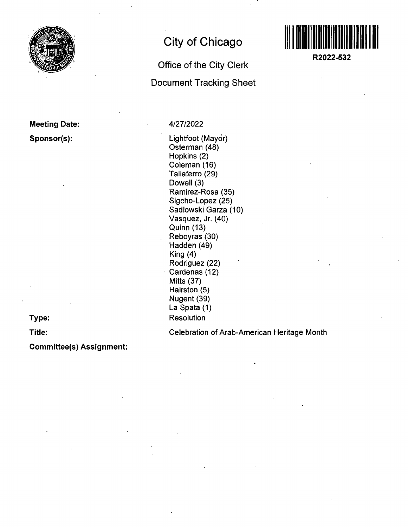

# **Meeting Date:**

**Sponsor(s):** 

**City of Chicago** 

## **Office of the City Clerk Document Tracking Sheet**



**R2022-532** 

#### 4/27/2022

Lightfoot (Mayor) Osterman (48) Hopkins (2) Coleman (16) Taliaferro (29) Dowell (3) Ramirez-Rosa (35) Sigcho-Lopez (25) Sadlowski Garza (10) Vasquez, Jr. (40) Quinn (13) Reboyras (30) Hadden (49) King (4) Rodriguez (22) Cardenas (12) Mitts (37) Hairston (5) Nugent (39) La Spata (1) **Resolution** 

**Type: Title:** 

Celebration of Arab-American Heritage Month

**Committee(s) Assignment:**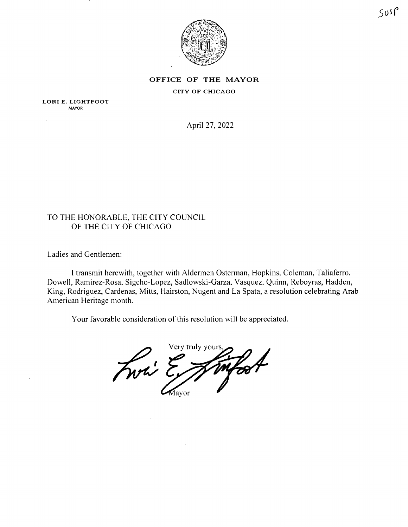

## **OFFIC E O F TH E MAYO R**

CITY OF CHICAGO

LORI E. LIGHTFOOT MAYOR

April 27, 2022

### TO THE HONORABLE, THE CITY COUNCIL OF THE CITY OF CHICAGO

Ladies and Gentlemen:

I transmit herewith, together with Aldermen Osterman, Hopkins, Coleman, Taliaferro, Dowell, Ramirez-Rosa, Sigcho-Lopez, Sadlowski-Garza, Vasquez, Quinn, Reboyras, Hadden, King, Rodriguez, Cardenas, Mitts, Hairston, Nugent and La Spata, a resolution celebrating Arab American Heritage month.

Your favorable consideration of this resolution will be appreciated.

Very truly yours. Fwri E